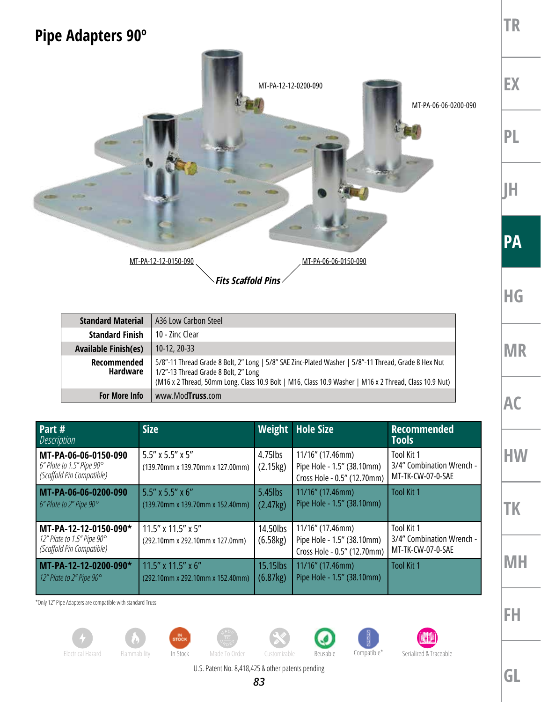## **Pipe Adapters 90º**



| <b>Standard Material</b>    | A36 Low Carbon Steel                                                                                                                                                                                                                                   |
|-----------------------------|--------------------------------------------------------------------------------------------------------------------------------------------------------------------------------------------------------------------------------------------------------|
| <b>Standard Finish</b>      | 10 - 7inc Clear                                                                                                                                                                                                                                        |
| <b>Available Finish(es)</b> | $10-12, 20-33$                                                                                                                                                                                                                                         |
| Recommended<br>Hardware     | 5/8"-11 Thread Grade 8 Bolt, 2" Long   5/8" SAE Zinc-Plated Washer   5/8"-11 Thread, Grade 8 Hex Nut<br>1/2"-13 Thread Grade 8 Bolt, 2" Long<br>(M16 x 2 Thread, 50mm Long, Class 10.9 Bolt   M16, Class 10.9 Washer   M16 x 2 Thread, Class 10.9 Nut) |
| <b>For More Info</b>        | www.Mod <b>Truss</b> .com                                                                                                                                                                                                                              |

| Part #<br><b>Description</b>                                                     | <b>Size</b>                                                     |                        | <b>Weight</b> Hole Size                                                       | <b>Recommended</b><br><b>Tools</b>                           |
|----------------------------------------------------------------------------------|-----------------------------------------------------------------|------------------------|-------------------------------------------------------------------------------|--------------------------------------------------------------|
| MT-PA-06-06-0150-090<br>6" Plate to 1.5" Pipe 90°<br>(Scaffold Pin Compatible)   | 5.5" x 5.5" x 5"<br>(139.70mm x 139.70mm x 127.00mm)            | $4.75$ lbs<br>(2.15kg) | 11/16" (17.46mm)<br>Pipe Hole - 1.5" (38.10mm)<br>Cross Hole - 0.5" (12.70mm) | Tool Kit 1<br>3/4" Combination Wrench -<br>MT-TK-CW-07-0-SAE |
| MT-PA-06-06-0200-090<br>6" Plate to 2" Pipe 90°                                  | 5.5" x 5.5" x 6"<br>(139.70mm x 139.70mm x 152.40mm)            | $5.45$ lbs<br>(2.47kg) | 11/16" (17.46mm)<br>Pipe Hole - 1.5" (38.10mm)                                | <b>Tool Kit 1</b>                                            |
| MT-PA-12-12-0150-090*<br>12" Plate to 1.5" Pipe 90°<br>(Scaffold Pin Compatible) | 11.5" x 11.5" x 5"<br>(292.10mm x 292.10mm x 127.0mm)           | 14.50lbs<br>(6.58kg)   | 11/16" (17.46mm)<br>Pipe Hole - 1.5" (38.10mm)<br>Cross Hole - 0.5" (12.70mm) | Tool Kit 1<br>3/4" Combination Wrench -<br>MT-TK-CW-07-0-SAE |
| MT-PA-12-12-0200-090*<br>12" Plate to 2" Pipe 90°                                | $11.5''$ x $11.5''$ x $6''$<br>(292.10mm x 292.10mm x 152.40mm) | 15.15lbs<br>(6.87kg)   | 11/16" (17.46mm)<br>Pipe Hole - 1.5" (38.10mm)                                | <b>Tool Kit 1</b>                                            |

\*Only 12" Pipe Adapters are compatible with standard Truss

















Electrical Hazard Flammability In Stock Made To Order Customizable Reusable Compatible\* Serialized & Traceable

U.S. Patent No. 8,418,425 & other patents pending

**GL**

**TR**

**EX**

**PL**

**JH**

**PA**

**HG**

**MR**

**AC**

**HW**

**TK**

**MH**

**FH**